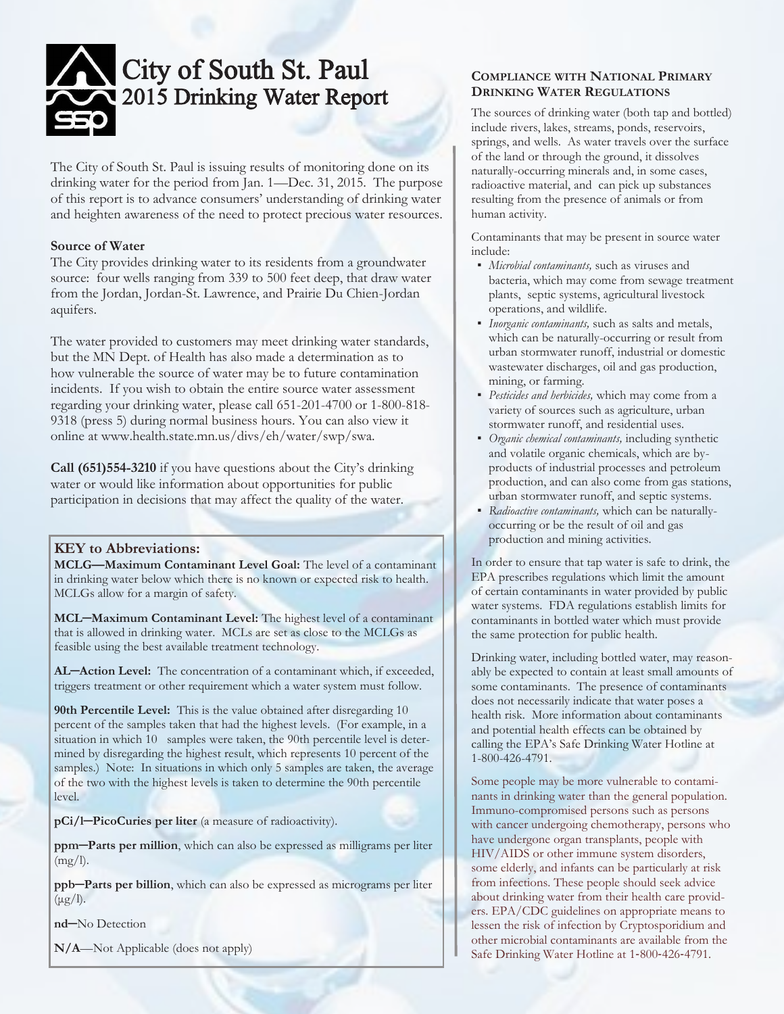

# City of South St. Paul 2015 Drinking Water Report

The City of South St. Paul is issuing results of monitoring done on its drinking water for the period from Jan. 1—Dec. 31, 2015. The purpose of this report is to advance consumers' understanding of drinking water and heighten awareness of the need to protect precious water resources.

#### **Source of Water**

The City provides drinking water to its residents from a groundwater source: four wells ranging from 339 to 500 feet deep, that draw water from the Jordan, Jordan-St. Lawrence, and Prairie Du Chien-Jordan aquifers.

The water provided to customers may meet drinking water standards, but the MN Dept. of Health has also made a determination as to how vulnerable the source of water may be to future contamination incidents. If you wish to obtain the entire source water assessment regarding your drinking water, please call 651-201-4700 or 1-800-818- 9318 (press 5) during normal business hours. You can also view it online at www.health.state.mn.us/divs/eh/water/swp/swa.

**Call (651)554-3210** if you have questions about the City's drinking water or would like information about opportunities for public participation in decisions that may affect the quality of the water.

### **KEY to Abbreviations:**

**MCLG—Maximum Contaminant Level Goal:** The level of a contaminant in drinking water below which there is no known or expected risk to health. MCLGs allow for a margin of safety.

**MCL─Maximum Contaminant Level:** The highest level of a contaminant that is allowed in drinking water. MCLs are set as close to the MCLGs as feasible using the best available treatment technology.

**AL─Action Level:** The concentration of a contaminant which, if exceeded, triggers treatment or other requirement which a water system must follow.

**90th Percentile Level:** This is the value obtained after disregarding 10 percent of the samples taken that had the highest levels. (For example, in a situation in which 10 samples were taken, the 90th percentile level is determined by disregarding the highest result, which represents 10 percent of the samples.) Note: In situations in which only 5 samples are taken, the average of the two with the highest levels is taken to determine the 90th percentile level.

**pCi/l─PicoCuries per liter** (a measure of radioactivity).

**ppm─Parts per million**, which can also be expressed as milligrams per liter  $(mg/l).$ 

**ppb─Parts per billion**, which can also be expressed as micrograms per liter  $(\mu g/l).$ 

**nd**─No Detection

**N/A**—Not Applicable (does not apply)

### **COMPLIANCE WITH NATIONAL PRIMARY DRINKING WATER REGULATIONS**

The sources of drinking water (both tap and bottled) include rivers, lakes, streams, ponds, reservoirs, springs, and wells. As water travels over the surface of the land or through the ground, it dissolves naturally-occurring minerals and, in some cases, radioactive material, and can pick up substances resulting from the presence of animals or from human activity.

Contaminants that may be present in source water include:

- *Microbial contaminants,* such as viruses and bacteria, which may come from sewage treatment plants, septic systems, agricultural livestock operations, and wildlife.
- *Inorganic contaminants,* such as salts and metals, which can be naturally-occurring or result from urban stormwater runoff, industrial or domestic wastewater discharges, oil and gas production, mining, or farming.
- *Pesticides and herbicides,* which may come from a variety of sources such as agriculture, urban stormwater runoff, and residential uses.
- *Organic chemical contaminants,* including synthetic and volatile organic chemicals, which are byproducts of industrial processes and petroleum production, and can also come from gas stations, urban stormwater runoff, and septic systems.
- *Radioactive contaminants,* which can be naturallyoccurring or be the result of oil and gas production and mining activities.

In order to ensure that tap water is safe to drink, the EPA prescribes regulations which limit the amount of certain contaminants in water provided by public water systems. FDA regulations establish limits for contaminants in bottled water which must provide the same protection for public health.

Drinking water, including bottled water, may reasonably be expected to contain at least small amounts of some contaminants. The presence of contaminants does not necessarily indicate that water poses a health risk. More information about contaminants and potential health effects can be obtained by calling the EPA's Safe Drinking Water Hotline at 1-800-426-4791.

Some people may be more vulnerable to contaminants in drinking water than the general population. Immuno-compromised persons such as persons with cancer undergoing chemotherapy, persons who have undergone organ transplants, people with HIV/AIDS or other immune system disorders, some elderly, and infants can be particularly at risk from infections. These people should seek advice about drinking water from their health care providers. EPA/CDC guidelines on appropriate means to lessen the risk of infection by Cryptosporidium and other microbial contaminants are available from the Safe Drinking Water Hotline at 1‑800‑426‑4791.